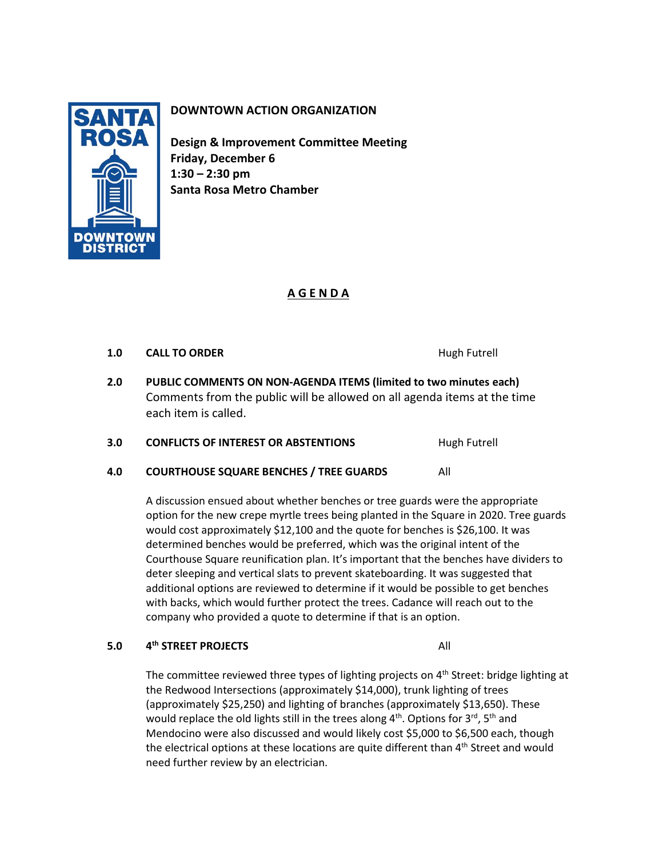

# **DOWNTOWN ACTION ORGANIZATION**

**Design & Improvement Committee Meeting Friday, December 6 1:30 – 2:30 pm Santa Rosa Metro Chamber**

## **A G E N D A**

## **1.0 CALL TO ORDER Hugh Futrell**

- **2.0 PUBLIC COMMENTS ON NON-AGENDA ITEMS (limited to two minutes each)** Comments from the public will be allowed on all agenda items at the time each item is called.
- **3.0 CONFLICTS OF INTEREST OR ABSTENTIONS** Hugh Futrell
- **4.0 COURTHOUSE SQUARE BENCHES / TREE GUARDS** All

A discussion ensued about whether benches or tree guards were the appropriate option for the new crepe myrtle trees being planted in the Square in 2020. Tree guards would cost approximately \$12,100 and the quote for benches is \$26,100. It was determined benches would be preferred, which was the original intent of the Courthouse Square reunification plan. It's important that the benches have dividers to deter sleeping and vertical slats to prevent skateboarding. It was suggested that additional options are reviewed to determine if it would be possible to get benches with backs, which would further protect the trees. Cadance will reach out to the company who provided a quote to determine if that is an option.

#### **5.0 4 th STREET PROJECTS** All

The committee reviewed three types of lighting projects on  $4<sup>th</sup>$  Street: bridge lighting at the Redwood Intersections (approximately \$14,000), trunk lighting of trees (approximately \$25,250) and lighting of branches (approximately \$13,650). These would replace the old lights still in the trees along  $4<sup>th</sup>$ . Options for  $3<sup>rd</sup>$ ,  $5<sup>th</sup>$  and Mendocino were also discussed and would likely cost \$5,000 to \$6,500 each, though the electrical options at these locations are quite different than  $4<sup>th</sup>$  Street and would need further review by an electrician.